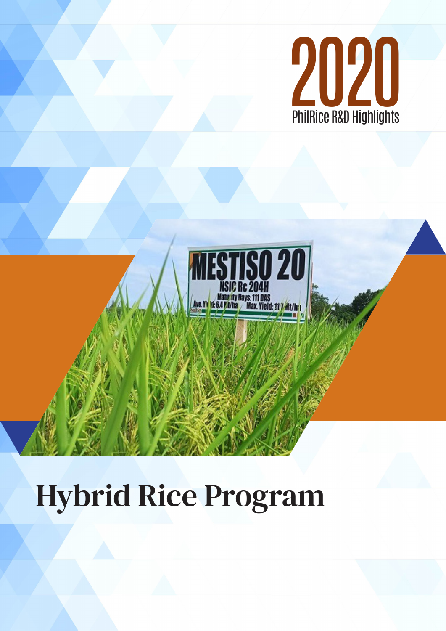



# Hybrid Rice Program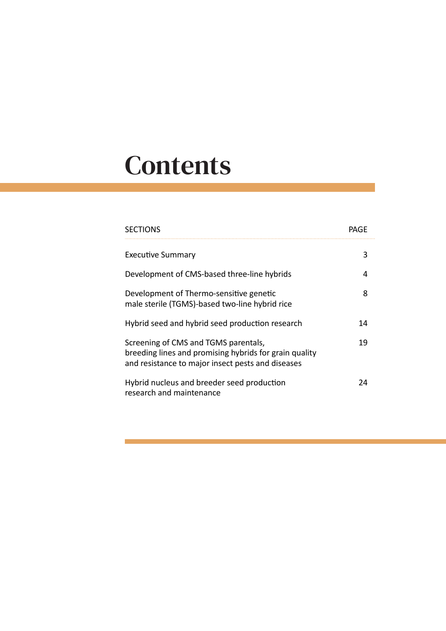# **Contents**

| <b>SECTIONS</b>                                                                                                                                     | PAGF |
|-----------------------------------------------------------------------------------------------------------------------------------------------------|------|
| <b>Executive Summary</b>                                                                                                                            | 3    |
| Development of CMS-based three-line hybrids                                                                                                         | 4    |
| Development of Thermo-sensitive genetic<br>male sterile (TGMS)-based two-line hybrid rice                                                           | 8    |
| Hybrid seed and hybrid seed production research                                                                                                     | 14   |
| Screening of CMS and TGMS parentals,<br>breeding lines and promising hybrids for grain quality<br>and resistance to major insect pests and diseases | 19   |
| Hybrid nucleus and breeder seed production<br>research and maintenance                                                                              | 2Δ   |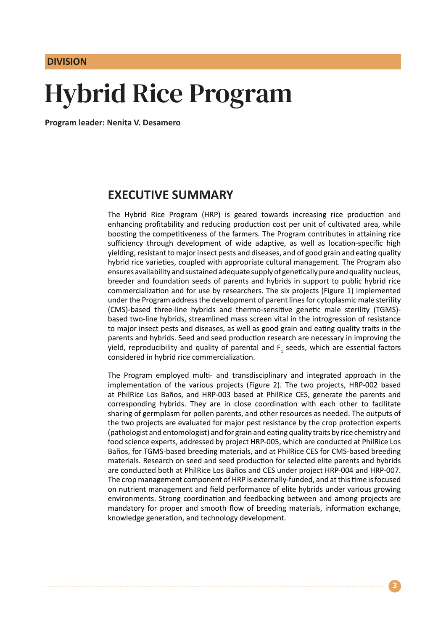**DIVISION**

# Hybrid Rice Program

**Program leader: Nenita V. Desamero**

#### **EXECUTIVE SUMMARY**

The Hybrid Rice Program (HRP) is geared towards increasing rice production and enhancing profitability and reducing production cost per unit of cultivated area, while boosting the competitiveness of the farmers. The Program contributes in attaining rice sufficiency through development of wide adaptive, as well as location-specific high yielding, resistant to major insect pests and diseases, and of good grain and eating quality hybrid rice varieties, coupled with appropriate cultural management. The Program also ensures availability and sustained adequate supply of genetically pure and quality nucleus, breeder and foundation seeds of parents and hybrids in support to public hybrid rice commercialization and for use by researchers. The six projects (Figure 1) implemented under the Program address the development of parent lines for cytoplasmic male sterility (CMS)-based three-line hybrids and thermo-sensitive genetic male sterility (TGMS) based two-line hybrids, streamlined mass screen vital in the introgression of resistance to major insect pests and diseases, as well as good grain and eating quality traits in the parents and hybrids. Seed and seed production research are necessary in improving the yield, reproducibility and quality of parental and  $F_1$  seeds, which are essential factors considered in hybrid rice commercialization.

The Program employed multi- and transdisciplinary and integrated approach in the implementation of the various projects (Figure 2). The two projects, HRP-002 based at PhilRice Los Baños, and HRP-003 based at PhilRice CES, generate the parents and corresponding hybrids. They are in close coordination with each other to facilitate sharing of germplasm for pollen parents, and other resources as needed. The outputs of the two projects are evaluated for major pest resistance by the crop protection experts (pathologist and entomologist) and for grain and eating quality traits by rice chemistry and food science experts, addressed by project HRP-005, which are conducted at PhilRice Los Baños, for TGMS-based breeding materials, and at PhilRice CES for CMS-based breeding materials. Research on seed and seed production for selected elite parents and hybrids are conducted both at PhilRice Los Baños and CES under project HRP-004 and HRP-007. The crop management component of HRP is externally-funded, and at this time is focused on nutrient management and field performance of elite hybrids under various growing environments. Strong coordination and feedbacking between and among projects are mandatory for proper and smooth flow of breeding materials, information exchange, knowledge generation, and technology development.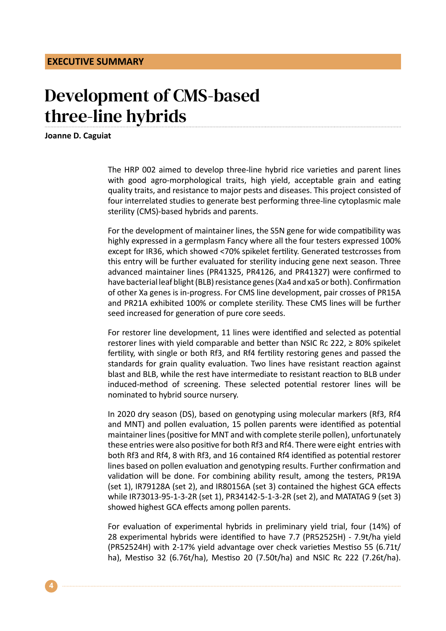## Development of CMS-based three-line hybrids

**Joanne D. Caguiat**

The HRP 002 aimed to develop three-line hybrid rice varieties and parent lines with good agro-morphological traits, high yield, acceptable grain and eating quality traits, and resistance to major pests and diseases. This project consisted of four interrelated studies to generate best performing three-line cytoplasmic male sterility (CMS)-based hybrids and parents.

For the development of maintainer lines, the S5N gene for wide compatibility was highly expressed in a germplasm Fancy where all the four testers expressed 100% except for IR36, which showed <70% spikelet fertility. Generated testcrosses from this entry will be further evaluated for sterility inducing gene next season. Three advanced maintainer lines (PR41325, PR4126, and PR41327) were confirmed to have bacterial leaf blight (BLB) resistance genes (Xa4 and xa5 or both). Confirmation of other Xa genes is in-progress. For CMS line development, pair crosses of PR15A and PR21A exhibited 100% or complete sterility. These CMS lines will be further seed increased for generation of pure core seeds.

For restorer line development, 11 lines were identified and selected as potential restorer lines with yield comparable and better than NSIC Rc 222,  $\geq$  80% spikelet fertility, with single or both Rf3, and Rf4 fertility restoring genes and passed the standards for grain quality evaluation. Two lines have resistant reaction against blast and BLB, while the rest have intermediate to resistant reaction to BLB under induced-method of screening. These selected potential restorer lines will be nominated to hybrid source nursery.

In 2020 dry season (DS), based on genotyping using molecular markers (Rf3, Rf4 and MNT) and pollen evaluation, 15 pollen parents were identified as potential maintainer lines (positive for MNT and with complete sterile pollen), unfortunately these entries were also positive for both Rf3 and Rf4. There were eight entries with both Rf3 and Rf4, 8 with Rf3, and 16 contained Rf4 identified as potential restorer lines based on pollen evaluation and genotyping results. Further confirmation and validation will be done. For combining ability result, among the testers, PR19A (set 1), IR79128A (set 2), and IR80156A (set 3) contained the highest GCA effects while IR73013-95-1-3-2R (set 1), PR34142-5-1-3-2R (set 2), and MATATAG 9 (set 3) showed highest GCA effects among pollen parents.

For evaluation of experimental hybrids in preliminary yield trial, four (14%) of 28 experimental hybrids were identified to have 7.7 (PR52525H) - 7.9t/ha yield (PR52524H) with 2-17% yield advantage over check varieties Mestiso 55 (6.71t/ ha), Mestiso 32 (6.76t/ha), Mestiso 20 (7.50t/ha) and NSIC Rc 222 (7.26t/ha).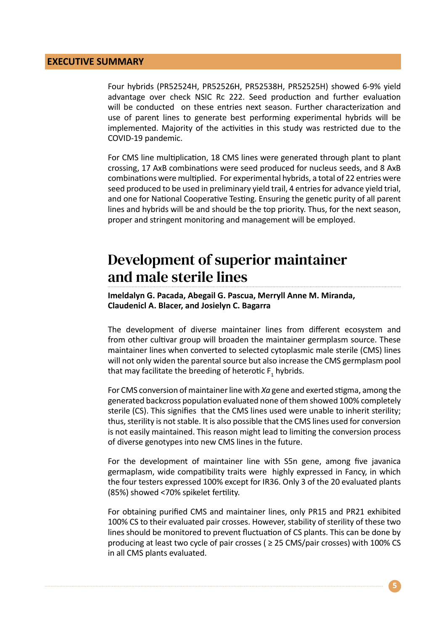#### **EXECUTIVE SUMMARY**

Four hybrids (PR52524H, PR52526H, PR52538H, PR52525H) showed 6-9% yield advantage over check NSIC Rc 222. Seed production and further evaluation will be conducted on these entries next season. Further characterization and use of parent lines to generate best performing experimental hybrids will be implemented. Majority of the activities in this study was restricted due to the COVID-19 pandemic.

For CMS line multiplication, 18 CMS lines were generated through plant to plant crossing, 17 AxB combinations were seed produced for nucleus seeds, and 8 AxB combinations were multiplied. For experimental hybrids, a total of 22 entries were seed produced to be used in preliminary yield trail, 4 entries for advance yield trial, and one for National Cooperative Testing. Ensuring the genetic purity of all parent lines and hybrids will be and should be the top priority. Thus, for the next season, proper and stringent monitoring and management will be employed.

### Development of superior maintainer and male sterile lines

**Imeldalyn G. Pacada, Abegail G. Pascua, Merryll Anne M. Miranda, Claudenicl A. Blacer, and Josielyn C. Bagarra**

The development of diverse maintainer lines from different ecosystem and from other cultivar group will broaden the maintainer germplasm source. These maintainer lines when converted to selected cytoplasmic male sterile (CMS) lines will not only widen the parental source but also increase the CMS germplasm pool that may facilitate the breeding of heterotic  $F_1$  hybrids.

For CMS conversion of maintainer line with *Xa* gene and exerted stigma, among the generated backcross population evaluated none of them showed 100% completely sterile (CS). This signifies that the CMS lines used were unable to inherit sterility; thus, sterility is not stable. It is also possible that the CMS lines used for conversion is not easily maintained. This reason might lead to limiting the conversion process of diverse genotypes into new CMS lines in the future.

For the development of maintainer line with S5n gene, among five javanica germaplasm, wide compatibility traits were highly expressed in Fancy, in which the four testers expressed 100% except for IR36. Only 3 of the 20 evaluated plants (85%) showed <70% spikelet fertility.

For obtaining purified CMS and maintainer lines, only PR15 and PR21 exhibited 100% CS to their evaluated pair crosses. However, stability of sterility of these two lines should be monitored to prevent fluctuation of CS plants. This can be done by producing at least two cycle of pair crosses ( $\geq$  25 CMS/pair crosses) with 100% CS in all CMS plants evaluated.

**5**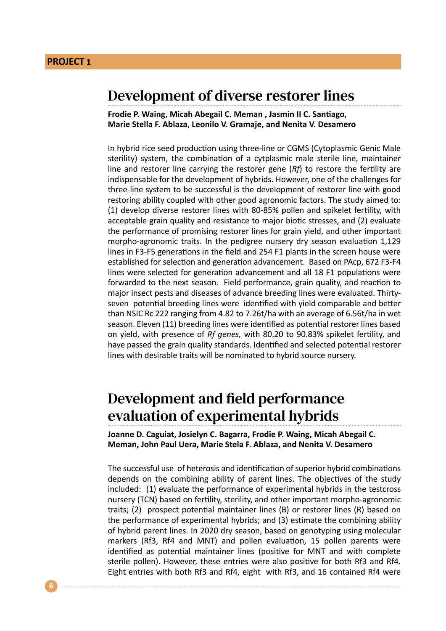#### Development of diverse restorer lines

**Frodie P. Waing, Micah Abegail C. Meman , Jasmin II C. Santiago, Marie Stella F. Ablaza, Leonilo V. Gramaje, and Nenita V. Desamero**

In hybrid rice seed production using three-line or CGMS (Cytoplasmic Genic Male sterility) system, the combination of a cytplasmic male sterile line, maintainer line and restorer line carrying the restorer gene (*Rf*) to restore the fertility are indispensable for the development of hybrids. However, one of the challenges for three-line system to be successful is the development of restorer line with good restoring ability coupled with other good agronomic factors. The study aimed to: (1) develop diverse restorer lines with 80-85% pollen and spikelet fertility, with acceptable grain quality and resistance to major biotic stresses, and (2) evaluate the performance of promising restorer lines for grain yield, and other important morpho-agronomic traits. In the pedigree nursery dry season evaluation 1,129 lines in F3-F5 generations in the field and 254 F1 plants in the screen house were established for selection and generation advancement. Based on PAcp, 672 F3-F4 lines were selected for generation advancement and all 18 F1 populations were forwarded to the next season. Field performance, grain quality, and reaction to major insect pests and diseases of advance breeding lines were evaluated. Thirtyseven potential breeding lines were identified with yield comparable and better than NSIC Rc 222 ranging from 4.82 to 7.26t/ha with an average of 6.56t/ha in wet season. Eleven (11) breeding lines were identified as potential restorer lines based on yield, with presence of *Rf genes,* with 80.20 to 90.83% spikelet fertility, and have passed the grain quality standards. Identified and selected potential restorer lines with desirable traits will be nominated to hybrid source nursery.

#### Development and field performance evaluation of experimental hybrids

**Joanne D. Caguiat, Josielyn C. Bagarra, Frodie P. Waing, Micah Abegail C. Meman, John Paul Uera, Marie Stela F. Ablaza, and Nenita V. Desamero**

The successful use of heterosis and identification of superior hybrid combinations depends on the combining ability of parent lines. The objectives of the study included: (1) evaluate the performance of experimental hybrids in the testcross nursery (TCN) based on fertility, sterility, and other important morpho-agronomic traits; (2) prospect potential maintainer lines (B) or restorer lines (R) based on the performance of experimental hybrids; and (3) estimate the combining ability of hybrid parent lines. In 2020 dry season, based on genotyping using molecular markers (Rf3, Rf4 and MNT) and pollen evaluation, 15 pollen parents were identified as potential maintainer lines (positive for MNT and with complete sterile pollen). However, these entries were also positive for both Rf3 and Rf4. Eight entries with both Rf3 and Rf4, eight with Rf3, and 16 contained Rf4 were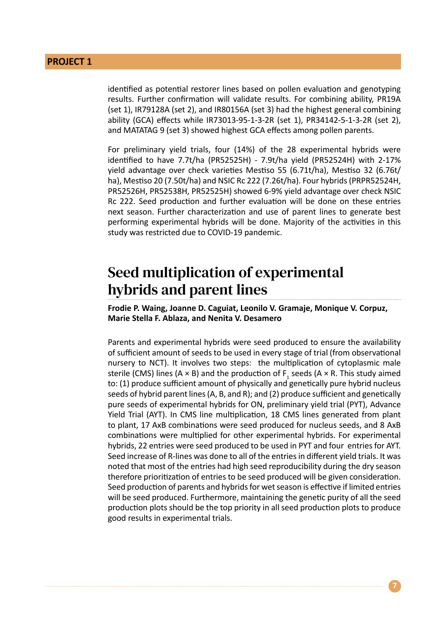identified as potential restorer lines based on pollen evaluation and genotyping results. Further confirmation will validate results. For combining ability, PR19A (set 1), IR79128A (set 2), and IR80156A (set 3) had the highest general combining ability (GCA) effects while IR73013-95-1-3-2R (set 1), PR34142-5-1-3-2R (set 2), and MATATAG 9 (set 3) showed highest GCA effects among pollen parents.

For preliminary yield trials, four (14%) of the 28 experimental hybrids were identified to have 7.7t/ha (PR52525H) - 7.9t/ha yield (PR52524H) with 2-17% yield advantage over check varieties Mestiso 55 (6.71t/ha), Mestiso 32 (6.76t/ ha), Mestiso 20 (7.50t/ha) and NSIC Rc 222 (7.26t/ha). Four hybrids (PRPR52524H, PR52526H, PR52538H, PR52525H) showed 6-9% yield advantage over check NSIC Rc 222. Seed production and further evaluation will be done on these entries next season. Further characterization and use of parent lines to generate best performing experimental hybrids will be done. Majority of the activities in this study was restricted due to COVID-19 pandemic.

#### Seed multiplication of experimental hybrids and parent lines

**Frodie P. Waing, Joanne D. Caguiat, Leonilo V. Gramaje, Monique V. Corpuz, Marie Stella F. Ablaza, and Nenita V. Desamero**

Parents and experimental hybrids were seed produced to ensure the availability of sufficient amount of seeds to be used in every stage of trial (from observational nursery to NCT). It involves two steps: the multiplication of cytoplasmic male sterile (CMS) lines (A  $\times$  B) and the production of F<sub>1</sub> seeds (A  $\times$  R. This study aimed to: (1) produce sufficient amount of physically and genetically pure hybrid nucleus seeds of hybrid parent lines (A, B, and R); and (2) produce sufficient and genetically pure seeds of experimental hybrids for ON, preliminary yield trial (PYT), Advance Yield Trial (AYT). In CMS line multiplication, 18 CMS lines generated from plant to plant, 17 AxB combinations were seed produced for nucleus seeds, and 8 AxB combinations were multiplied for other experimental hybrids. For experimental hybrids, 22 entries were seed produced to be used in PYT and four entries for AYT. Seed increase of R-lines was done to all of the entries in different yield trials. It was noted that most of the entries had high seed reproducibility during the dry season therefore prioritization of entries to be seed produced will be given consideration. Seed production of parents and hybrids for wet season is effective if limited entries will be seed produced. Furthermore, maintaining the genetic purity of all the seed production plots should be the top priority in all seed production plots to produce good results in experimental trials.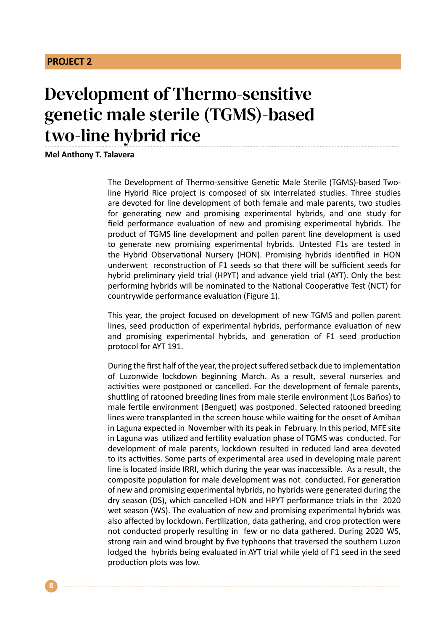## Development of Thermo-sensitive genetic male sterile (TGMS)-based two-line hybrid rice

**Mel Anthony T. Talavera**

The Development of Thermo-sensitive Genetic Male Sterile (TGMS)-based Twoline Hybrid Rice project is composed of six interrelated studies. Three studies are devoted for line development of both female and male parents, two studies for generating new and promising experimental hybrids, and one study for field performance evaluation of new and promising experimental hybrids. The product of TGMS line development and pollen parent line development is used to generate new promising experimental hybrids. Untested F1s are tested in the Hybrid Observational Nursery (HON). Promising hybrids identified in HON underwent reconstruction of F1 seeds so that there will be sufficient seeds for hybrid preliminary yield trial (HPYT) and advance yield trial (AYT). Only the best performing hybrids will be nominated to the National Cooperative Test (NCT) for countrywide performance evaluation (Figure 1).

This year, the project focused on development of new TGMS and pollen parent lines, seed production of experimental hybrids, performance evaluation of new and promising experimental hybrids, and generation of F1 seed production protocol for AYT 191.

During the first half of the year, the project suffered setback due to implementation of Luzonwide lockdown beginning March. As a result, several nurseries and activities were postponed or cancelled. For the development of female parents, shuttling of ratooned breeding lines from male sterile environment (Los Baños) to male fertile environment (Benguet) was postponed. Selected ratooned breeding lines were transplanted in the screen house while waiting for the onset of Amihan in Laguna expected in November with its peak in February. In this period, MFE site in Laguna was utilized and fertility evaluation phase of TGMS was conducted. For development of male parents, lockdown resulted in reduced land area devoted to its activities. Some parts of experimental area used in developing male parent line is located inside IRRI, which during the year was inaccessible. As a result, the composite population for male development was not conducted. For generation of new and promising experimental hybrids, no hybrids were generated during the dry season (DS), which cancelled HON and HPYT performance trials in the 2020 wet season (WS). The evaluation of new and promising experimental hybrids was also affected by lockdown. Fertilization, data gathering, and crop protection were not conducted properly resulting in few or no data gathered. During 2020 WS, strong rain and wind brought by five typhoons that traversed the southern Luzon lodged the hybrids being evaluated in AYT trial while yield of F1 seed in the seed production plots was low.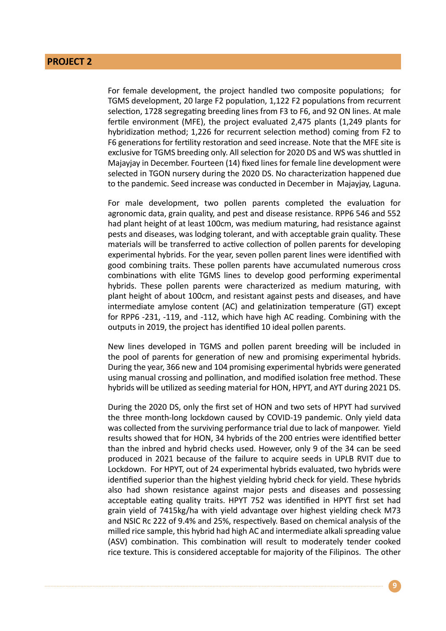For female development, the project handled two composite populations; for TGMS development, 20 large F2 population, 1,122 F2 populations from recurrent selection, 1728 segregating breeding lines from F3 to F6, and 92 ON lines. At male fertile environment (MFE), the project evaluated 2,475 plants (1,249 plants for hybridization method; 1,226 for recurrent selection method) coming from F2 to F6 generations for fertility restoration and seed increase. Note that the MFE site is exclusive for TGMS breeding only. All selection for 2020 DS and WS was shuttled in Majayjay in December. Fourteen (14) fixed lines for female line development were selected in TGON nursery during the 2020 DS. No characterization happened due to the pandemic. Seed increase was conducted in December in Majayjay, Laguna.

For male development, two pollen parents completed the evaluation for agronomic data, grain quality, and pest and disease resistance. RPP6 546 and 552 had plant height of at least 100cm, was medium maturing, had resistance against pests and diseases, was lodging tolerant, and with acceptable grain quality. These materials will be transferred to active collection of pollen parents for developing experimental hybrids. For the year, seven pollen parent lines were identified with good combining traits. These pollen parents have accumulated numerous cross combinations with elite TGMS lines to develop good performing experimental hybrids. These pollen parents were characterized as medium maturing, with plant height of about 100cm, and resistant against pests and diseases, and have intermediate amylose content (AC) and gelatinization temperature (GT) except for RPP6 -231, -119, and -112, which have high AC reading. Combining with the outputs in 2019, the project has identified 10 ideal pollen parents.

New lines developed in TGMS and pollen parent breeding will be included in the pool of parents for generation of new and promising experimental hybrids. During the year, 366 new and 104 promising experimental hybrids were generated using manual crossing and pollination, and modified isolation free method. These hybrids will be utilized as seeding material for HON, HPYT, and AYT during 2021 DS.

During the 2020 DS, only the first set of HON and two sets of HPYT had survived the three month-long lockdown caused by COVID-19 pandemic. Only yield data was collected from the surviving performance trial due to lack of manpower. Yield results showed that for HON, 34 hybrids of the 200 entries were identified better than the inbred and hybrid checks used. However, only 9 of the 34 can be seed produced in 2021 because of the failure to acquire seeds in UPLB RVIT due to Lockdown. For HPYT, out of 24 experimental hybrids evaluated, two hybrids were identified superior than the highest yielding hybrid check for yield. These hybrids also had shown resistance against major pests and diseases and possessing acceptable eating quality traits. HPYT 752 was identified in HPYT first set had grain yield of 7415kg/ha with yield advantage over highest yielding check M73 and NSIC Rc 222 of 9.4% and 25%, respectively. Based on chemical analysis of the milled rice sample, this hybrid had high AC and intermediate alkali spreading value (ASV) combination. This combination will result to moderately tender cooked rice texture. This is considered acceptable for majority of the Filipinos. The other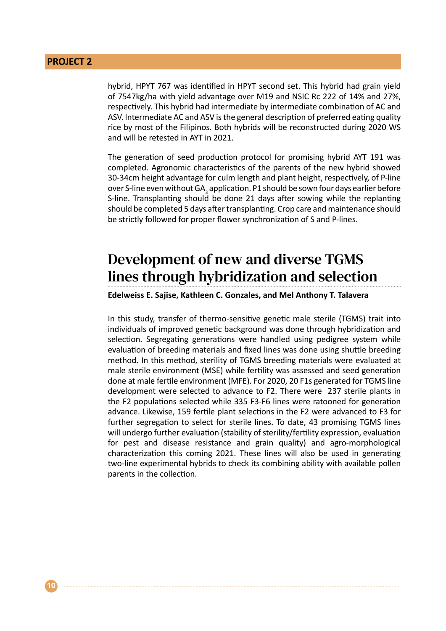hybrid, HPYT 767 was identified in HPYT second set. This hybrid had grain yield of 7547kg/ha with yield advantage over M19 and NSIC Rc 222 of 14% and 27%, respectively. This hybrid had intermediate by intermediate combination of AC and ASV. Intermediate AC and ASV is the general description of preferred eating quality rice by most of the Filipinos. Both hybrids will be reconstructed during 2020 WS and will be retested in AYT in 2021.

The generation of seed production protocol for promising hybrid AYT 191 was completed. Agronomic characteristics of the parents of the new hybrid showed 30-34cm height advantage for culm length and plant height, respectively, of P-line over S-line even without GA $_{_3}$ application. P1 should be sown four days earlier before S-line. Transplanting should be done 21 days after sowing while the replanting should be completed 5 days after transplanting. Crop care and maintenance should be strictly followed for proper flower synchronization of S and P-lines.

### Development of new and diverse TGMS lines through hybridization and selection

#### **Edelweiss E. Sajise, Kathleen C. Gonzales, and Mel Anthony T. Talavera**

In this study, transfer of thermo-sensitive genetic male sterile (TGMS) trait into individuals of improved genetic background was done through hybridization and selection. Segregating generations were handled using pedigree system while evaluation of breeding materials and fixed lines was done using shuttle breeding method. In this method, sterility of TGMS breeding materials were evaluated at male sterile environment (MSE) while fertility was assessed and seed generation done at male fertile environment (MFE). For 2020, 20 F1s generated for TGMS line development were selected to advance to F2. There were 237 sterile plants in the F2 populations selected while 335 F3-F6 lines were ratooned for generation advance. Likewise, 159 fertile plant selections in the F2 were advanced to F3 for further segregation to select for sterile lines. To date, 43 promising TGMS lines will undergo further evaluation (stability of sterility/fertility expression, evaluation for pest and disease resistance and grain quality) and agro-morphological characterization this coming 2021. These lines will also be used in generating two-line experimental hybrids to check its combining ability with available pollen parents in the collection.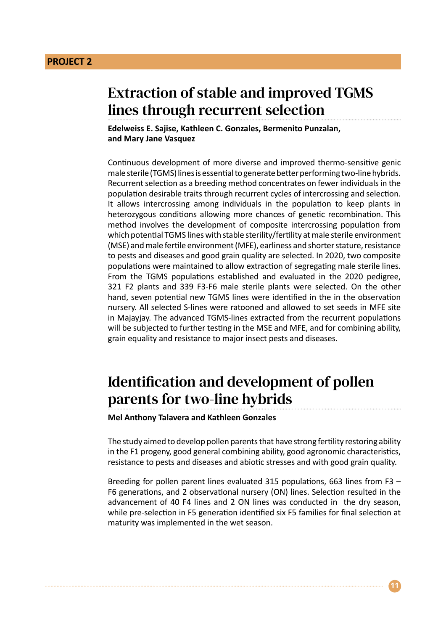### Extraction of stable and improved TGMS lines through recurrent selection

**Edelweiss E. Sajise, Kathleen C. Gonzales, Bermenito Punzalan, and Mary Jane Vasquez**

Continuous development of more diverse and improved thermo-sensitive genic male sterile (TGMS) lines is essential to generate better performing two-line hybrids. Recurrent selection as a breeding method concentrates on fewer individuals in the population desirable traits through recurrent cycles of intercrossing and selection. It allows intercrossing among individuals in the population to keep plants in heterozygous conditions allowing more chances of genetic recombination. This method involves the development of composite intercrossing population from which potential TGMS lines with stable sterility/fertility at male sterile environment (MSE) and male fertile environment (MFE), earliness and shorter stature, resistance to pests and diseases and good grain quality are selected. In 2020, two composite populations were maintained to allow extraction of segregating male sterile lines. From the TGMS populations established and evaluated in the 2020 pedigree, 321 F2 plants and 339 F3-F6 male sterile plants were selected. On the other hand, seven potential new TGMS lines were identified in the in the observation nursery. All selected S-lines were ratooned and allowed to set seeds in MFE site in Majayjay. The advanced TGMS-lines extracted from the recurrent populations will be subjected to further testing in the MSE and MFE, and for combining ability, grain equality and resistance to major insect pests and diseases.

### Identification and development of pollen parents for two-line hybrids

**Mel Anthony Talavera and Kathleen Gonzales**

The study aimed to develop pollen parents that have strong fertility restoring ability in the F1 progeny, good general combining ability, good agronomic characteristics, resistance to pests and diseases and abiotic stresses and with good grain quality.

Breeding for pollen parent lines evaluated 315 populations, 663 lines from F3 – F6 generations, and 2 observational nursery (ON) lines. Selection resulted in the advancement of 40 F4 lines and 2 ON lines was conducted in the dry season, while pre-selection in F5 generation identified six F5 families for final selection at maturity was implemented in the wet season.

**11**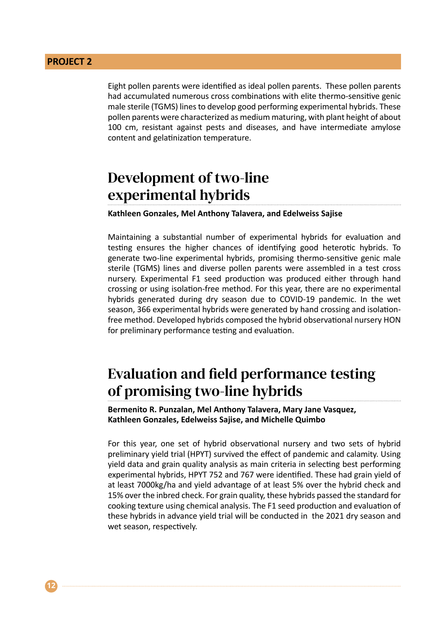Eight pollen parents were identified as ideal pollen parents. These pollen parents had accumulated numerous cross combinations with elite thermo-sensitive genic male sterile (TGMS) lines to develop good performing experimental hybrids. These pollen parents were characterized as medium maturing, with plant height of about 100 cm, resistant against pests and diseases, and have intermediate amylose content and gelatinization temperature.

### Development of two-line experimental hybrids

**Kathleen Gonzales, Mel Anthony Talavera, and Edelweiss Sajise**

Maintaining a substantial number of experimental hybrids for evaluation and testing ensures the higher chances of identifying good heterotic hybrids. To generate two-line experimental hybrids, promising thermo-sensitive genic male sterile (TGMS) lines and diverse pollen parents were assembled in a test cross nursery. Experimental F1 seed production was produced either through hand crossing or using isolation-free method. For this year, there are no experimental hybrids generated during dry season due to COVID-19 pandemic. In the wet season, 366 experimental hybrids were generated by hand crossing and isolationfree method. Developed hybrids composed the hybrid observational nursery HON for preliminary performance testing and evaluation.

#### Evaluation and field performance testing of promising two-line hybrids

**Bermenito R. Punzalan, Mel Anthony Talavera, Mary Jane Vasquez, Kathleen Gonzales, Edelweiss Sajise, and Michelle Quimbo**

For this year, one set of hybrid observational nursery and two sets of hybrid preliminary yield trial (HPYT) survived the effect of pandemic and calamity. Using yield data and grain quality analysis as main criteria in selecting best performing experimental hybrids, HPYT 752 and 767 were identified. These had grain yield of at least 7000kg/ha and yield advantage of at least 5% over the hybrid check and 15% over the inbred check. For grain quality, these hybrids passed the standard for cooking texture using chemical analysis. The F1 seed production and evaluation of these hybrids in advance yield trial will be conducted in the 2021 dry season and wet season, respectively.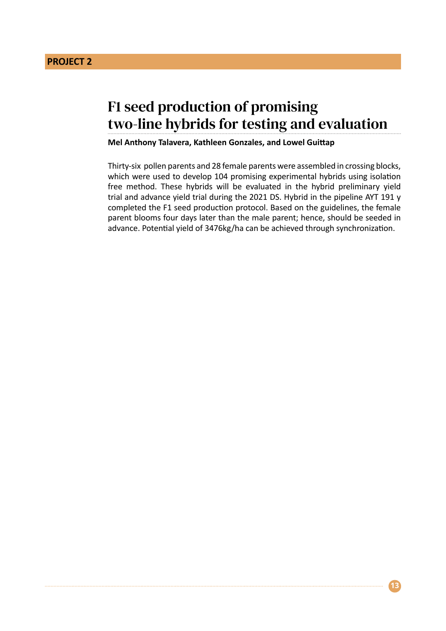### F1 seed production of promising two-line hybrids for testing and evaluation

**Mel Anthony Talavera, Kathleen Gonzales, and Lowel Guittap**

Thirty-six pollen parents and 28 female parents were assembled in crossing blocks, which were used to develop 104 promising experimental hybrids using isolation free method. These hybrids will be evaluated in the hybrid preliminary yield trial and advance yield trial during the 2021 DS. Hybrid in the pipeline AYT 191 y completed the F1 seed production protocol. Based on the guidelines, the female parent blooms four days later than the male parent; hence, should be seeded in advance. Potential yield of 3476kg/ha can be achieved through synchronization.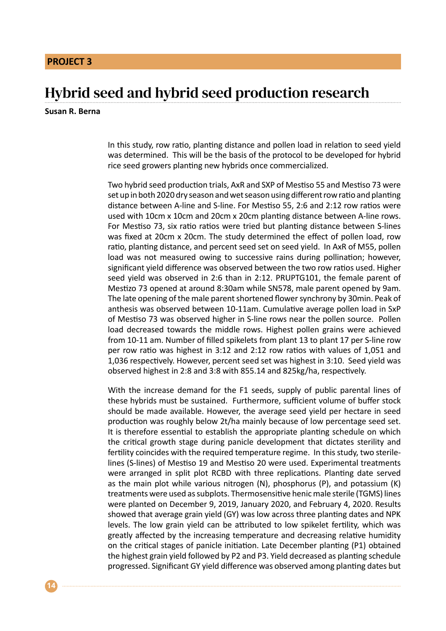#### Hybrid seed and hybrid seed production research

#### **Susan R. Berna**

In this study, row ratio, planting distance and pollen load in relation to seed yield was determined. This will be the basis of the protocol to be developed for hybrid rice seed growers planting new hybrids once commercialized.

Two hybrid seed production trials, AxR and SXP of Mestiso 55 and Mestiso 73 were set up in both 2020 dry season and wet season using different row ratio and planting distance between A-line and S-line. For Mestiso 55, 2:6 and 2:12 row ratios were used with 10cm x 10cm and 20cm x 20cm planting distance between A-line rows. For Mestiso 73, six ratio ratios were tried but planting distance between S-lines was fixed at 20cm x 20cm. The study determined the effect of pollen load, row ratio, planting distance, and percent seed set on seed yield. In AxR of M55, pollen load was not measured owing to successive rains during pollination; however, significant yield difference was observed between the two row ratios used. Higher seed yield was observed in 2:6 than in 2:12. PRUPTG101, the female parent of Mestizo 73 opened at around 8:30am while SN578, male parent opened by 9am. The late opening of the male parent shortened flower synchrony by 30min. Peak of anthesis was observed between 10-11am. Cumulative average pollen load in SxP of Mestiso 73 was observed higher in S-line rows near the pollen source. Pollen load decreased towards the middle rows. Highest pollen grains were achieved from 10-11 am. Number of filled spikelets from plant 13 to plant 17 per S-line row per row ratio was highest in 3:12 and 2:12 row ratios with values of 1,051 and 1,036 respectively. However, percent seed set was highest in 3:10. Seed yield was observed highest in 2:8 and 3:8 with 855.14 and 825kg/ha, respectively.

With the increase demand for the F1 seeds, supply of public parental lines of these hybrids must be sustained. Furthermore, sufficient volume of buffer stock should be made available. However, the average seed yield per hectare in seed production was roughly below 2t/ha mainly because of low percentage seed set. It is therefore essential to establish the appropriate planting schedule on which the critical growth stage during panicle development that dictates sterility and fertility coincides with the required temperature regime. In this study, two sterilelines (S-lines) of Mestiso 19 and Mestiso 20 were used. Experimental treatments were arranged in split plot RCBD with three replications. Planting date served as the main plot while various nitrogen  $(N)$ , phosphorus  $(P)$ , and potassium  $(K)$ treatments were used as subplots. Thermosensitive henic male sterile (TGMS) lines were planted on December 9, 2019, January 2020, and February 4, 2020. Results showed that average grain yield (GY) was low across three planting dates and NPK levels. The low grain yield can be attributed to low spikelet fertility, which was greatly affected by the increasing temperature and decreasing relative humidity on the critical stages of panicle initiation. Late December planting (P1) obtained the highest grain yield followed by P2 and P3. Yield decreased as planting schedule progressed. Significant GY yield difference was observed among planting dates but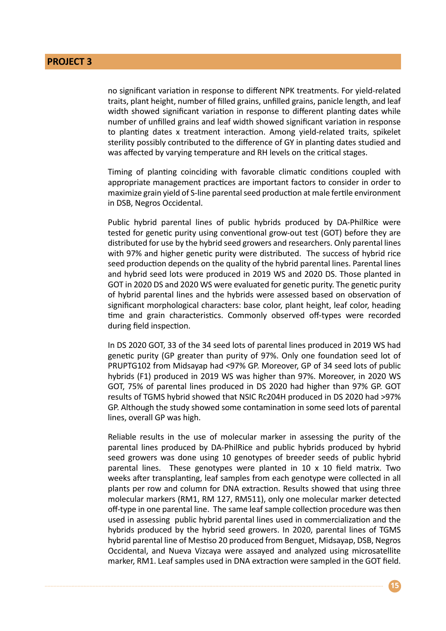no significant variation in response to different NPK treatments. For yield-related traits, plant height, number of filled grains, unfilled grains, panicle length, and leaf width showed significant variation in response to different planting dates while number of unfilled grains and leaf width showed significant variation in response to planting dates x treatment interaction. Among yield-related traits, spikelet sterility possibly contributed to the difference of GY in planting dates studied and was affected by varying temperature and RH levels on the critical stages.

Timing of planting coinciding with favorable climatic conditions coupled with appropriate management practices are important factors to consider in order to maximize grain yield of S-line parental seed production at male fertile environment in DSB, Negros Occidental.

Public hybrid parental lines of public hybrids produced by DA-PhilRice were tested for genetic purity using conventional grow-out test (GOT) before they are distributed for use by the hybrid seed growers and researchers. Only parental lines with 97% and higher genetic purity were distributed. The success of hybrid rice seed production depends on the quality of the hybrid parental lines. Parental lines and hybrid seed lots were produced in 2019 WS and 2020 DS. Those planted in GOT in 2020 DS and 2020 WS were evaluated for genetic purity. The genetic purity of hybrid parental lines and the hybrids were assessed based on observation of significant morphological characters: base color, plant height, leaf color, heading time and grain characteristics. Commonly observed off-types were recorded during field inspection.

In DS 2020 GOT, 33 of the 34 seed lots of parental lines produced in 2019 WS had genetic purity (GP greater than purity of 97%. Only one foundation seed lot of PRUPTG102 from Midsayap had <97% GP. Moreover, GP of 34 seed lots of public hybrids (F1) produced in 2019 WS was higher than 97%. Moreover, in 2020 WS GOT, 75% of parental lines produced in DS 2020 had higher than 97% GP. GOT results of TGMS hybrid showed that NSIC Rc204H produced in DS 2020 had >97% GP. Although the study showed some contamination in some seed lots of parental lines, overall GP was high.

Reliable results in the use of molecular marker in assessing the purity of the parental lines produced by DA-PhilRice and public hybrids produced by hybrid seed growers was done using 10 genotypes of breeder seeds of public hybrid parental lines. These genotypes were planted in 10 x 10 field matrix. Two weeks after transplanting, leaf samples from each genotype were collected in all plants per row and column for DNA extraction. Results showed that using three molecular markers (RM1, RM 127, RM511), only one molecular marker detected off-type in one parental line. The same leaf sample collection procedure was then used in assessing public hybrid parental lines used in commercialization and the hybrids produced by the hybrid seed growers. In 2020, parental lines of TGMS hybrid parental line of Mestiso 20 produced from Benguet, Midsayap, DSB, Negros Occidental, and Nueva Vizcaya were assayed and analyzed using microsatellite marker, RM1. Leaf samples used in DNA extraction were sampled in the GOT field.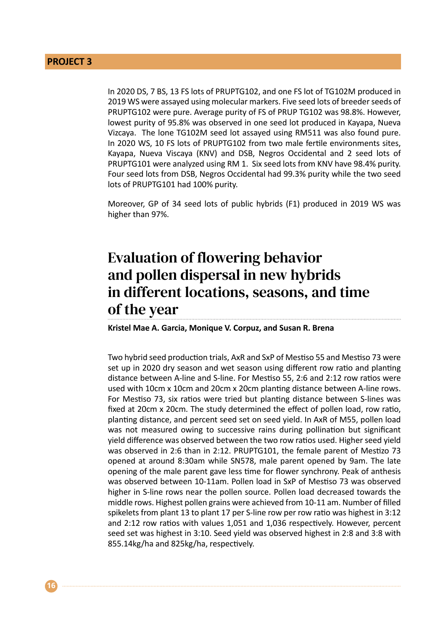In 2020 DS, 7 BS, 13 FS lots of PRUPTG102, and one FS lot of TG102M produced in 2019 WS were assayed using molecular markers. Five seed lots of breeder seeds of PRUPTG102 were pure. Average purity of FS of PRUP TG102 was 98.8%. However, lowest purity of 95.8% was observed in one seed lot produced in Kayapa, Nueva Vizcaya. The lone TG102M seed lot assayed using RM511 was also found pure. In 2020 WS, 10 FS lots of PRUPTG102 from two male fertile environments sites, Kayapa, Nueva Viscaya (KNV) and DSB, Negros Occidental and 2 seed lots of PRUPTG101 were analyzed using RM 1. Six seed lots from KNV have 98.4% purity. Four seed lots from DSB, Negros Occidental had 99.3% purity while the two seed lots of PRUPTG101 had 100% purity.

Moreover, GP of 34 seed lots of public hybrids (F1) produced in 2019 WS was higher than 97%.

### Evaluation of flowering behavior and pollen dispersal in new hybrids in different locations, seasons, and time of the year

**Kristel Mae A. Garcia, Monique V. Corpuz, and Susan R. Brena**

Two hybrid seed production trials, AxR and SxP of Mestiso 55 and Mestiso 73 were set up in 2020 dry season and wet season using different row ratio and planting distance between A-line and S-line. For Mestiso 55, 2:6 and 2:12 row ratios were used with 10cm x 10cm and 20cm x 20cm planting distance between A-line rows. For Mestiso 73, six ratios were tried but planting distance between S-lines was fixed at 20cm x 20cm. The study determined the effect of pollen load, row ratio, planting distance, and percent seed set on seed yield. In AxR of M55, pollen load was not measured owing to successive rains during pollination but significant yield difference was observed between the two row ratios used. Higher seed yield was observed in 2:6 than in 2:12. PRUPTG101, the female parent of Mestizo 73 opened at around 8:30am while SN578, male parent opened by 9am. The late opening of the male parent gave less time for flower synchrony. Peak of anthesis was observed between 10-11am. Pollen load in SxP of Mestiso 73 was observed higher in S-line rows near the pollen source. Pollen load decreased towards the middle rows. Highest pollen grains were achieved from 10-11 am. Number of filled spikelets from plant 13 to plant 17 per S-line row per row ratio was highest in 3:12 and 2:12 row ratios with values 1,051 and 1,036 respectively. However, percent seed set was highest in 3:10. Seed yield was observed highest in 2:8 and 3:8 with 855.14kg/ha and 825kg/ha, respectively.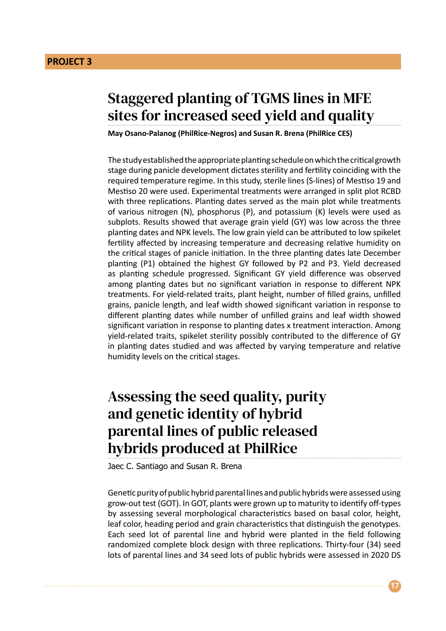### Staggered planting of TGMS lines in MFE sites for increased seed yield and quality

**May Osano-Palanog (PhilRice-Negros) and Susan R. Brena (PhilRice CES)**

The study established the appropriate planting schedule on which the critical growth stage during panicle development dictates sterility and fertility coinciding with the required temperature regime. In this study, sterile lines (S-lines) of Mestiso 19 and Mestiso 20 were used. Experimental treatments were arranged in split plot RCBD with three replications. Planting dates served as the main plot while treatments of various nitrogen (N), phosphorus (P), and potassium (K) levels were used as subplots. Results showed that average grain yield (GY) was low across the three planting dates and NPK levels. The low grain yield can be attributed to low spikelet fertility affected by increasing temperature and decreasing relative humidity on the critical stages of panicle initiation. In the three planting dates late December planting (P1) obtained the highest GY followed by P2 and P3. Yield decreased as planting schedule progressed. Significant GY yield difference was observed among planting dates but no significant variation in response to different NPK treatments. For yield-related traits, plant height, number of filled grains, unfilled grains, panicle length, and leaf width showed significant variation in response to different planting dates while number of unfilled grains and leaf width showed significant variation in response to planting dates x treatment interaction. Among yield-related traits, spikelet sterility possibly contributed to the difference of GY in planting dates studied and was affected by varying temperature and relative humidity levels on the critical stages.

### Assessing the seed quality, purity and genetic identity of hybrid parental lines of public released hybrids produced at PhilRice

Jaec C. Santiago and Susan R. Brena

Genetic purity of public hybrid parental lines and public hybrids were assessed using grow-out test (GOT). In GOT, plants were grown up to maturity to identify off-types by assessing several morphological characteristics based on basal color, height, leaf color, heading period and grain characteristics that distinguish the genotypes. Each seed lot of parental line and hybrid were planted in the field following randomized complete block design with three replications. Thirty-four (34) seed lots of parental lines and 34 seed lots of public hybrids were assessed in 2020 DS

**17**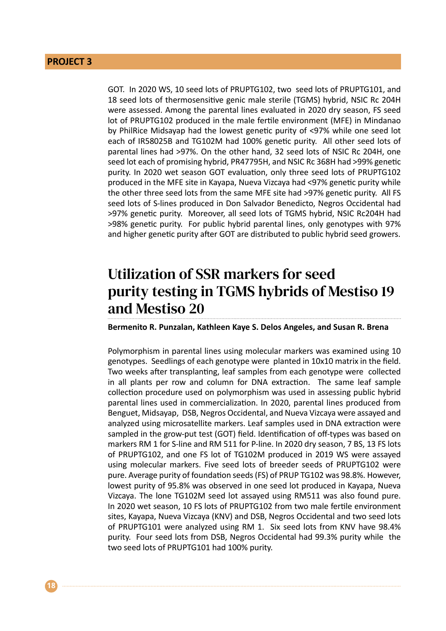GOT. In 2020 WS, 10 seed lots of PRUPTG102, two seed lots of PRUPTG101, and 18 seed lots of thermosensitive genic male sterile (TGMS) hybrid, NSIC Rc 204H were assessed. Among the parental lines evaluated in 2020 dry season, FS seed lot of PRUPTG102 produced in the male fertile environment (MFE) in Mindanao by PhilRice Midsayap had the lowest genetic purity of <97% while one seed lot each of IR58025B and TG102M had 100% genetic purity. All other seed lots of parental lines had >97%. On the other hand, 32 seed lots of NSIC Rc 204H, one seed lot each of promising hybrid, PR47795H, and NSIC Rc 368H had >99% genetic purity. In 2020 wet season GOT evaluation, only three seed lots of PRUPTG102 produced in the MFE site in Kayapa, Nueva Vizcaya had <97% genetic purity while the other three seed lots from the same MFE site had >97% genetic purity. All FS seed lots of S-lines produced in Don Salvador Benedicto, Negros Occidental had >97% genetic purity. Moreover, all seed lots of TGMS hybrid, NSIC Rc204H had >98% genetic purity. For public hybrid parental lines, only genotypes with 97% and higher genetic purity after GOT are distributed to public hybrid seed growers.

### Utilization of SSR markers for seed purity testing in TGMS hybrids of Mestiso 19 and Mestiso 20

**Bermenito R. Punzalan, Kathleen Kaye S. Delos Angeles, and Susan R. Brena**

Polymorphism in parental lines using molecular markers was examined using 10 genotypes. Seedlings of each genotype were planted in 10x10 matrix in the field. Two weeks after transplanting, leaf samples from each genotype were collected in all plants per row and column for DNA extraction. The same leaf sample collection procedure used on polymorphism was used in assessing public hybrid parental lines used in commercialization. In 2020, parental lines produced from Benguet, Midsayap, DSB, Negros Occidental, and Nueva Vizcaya were assayed and analyzed using microsatellite markers. Leaf samples used in DNA extraction were sampled in the grow-put test (GOT) field. Identification of off-types was based on markers RM 1 for S-line and RM 511 for P-line. In 2020 dry season, 7 BS, 13 FS lots of PRUPTG102, and one FS lot of TG102M produced in 2019 WS were assayed using molecular markers. Five seed lots of breeder seeds of PRUPTG102 were pure. Average purity of foundation seeds (FS) of PRUP TG102 was 98.8%. However, lowest purity of 95.8% was observed in one seed lot produced in Kayapa, Nueva Vizcaya. The lone TG102M seed lot assayed using RM511 was also found pure. In 2020 wet season, 10 FS lots of PRUPTG102 from two male fertile environment sites, Kayapa, Nueva Vizcaya (KNV) and DSB, Negros Occidental and two seed lots of PRUPTG101 were analyzed using RM 1. Six seed lots from KNV have 98.4% purity. Four seed lots from DSB, Negros Occidental had 99.3% purity while the two seed lots of PRUPTG101 had 100% purity.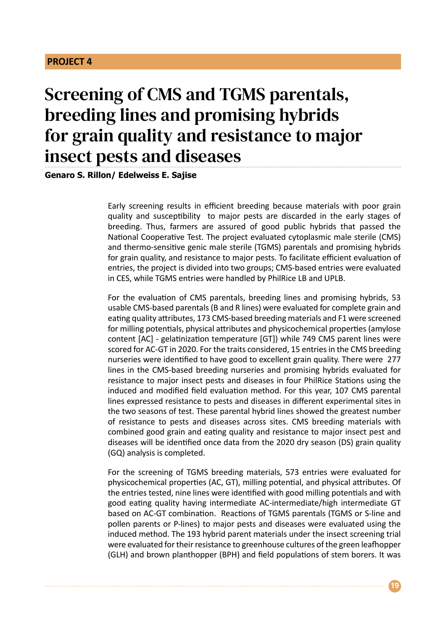# Screening of CMS and TGMS parentals, breeding lines and promising hybrids for grain quality and resistance to major insect pests and diseases

**Genaro S. Rillon/ Edelweiss E. Sajise**

Early screening results in efficient breeding because materials with poor grain quality and susceptibility to major pests are discarded in the early stages of breeding. Thus, farmers are assured of good public hybrids that passed the National Cooperative Test. The project evaluated cytoplasmic male sterile (CMS) and thermo-sensitive genic male sterile (TGMS) parentals and promising hybrids for grain quality, and resistance to major pests. To facilitate efficient evaluation of entries, the project is divided into two groups; CMS-based entries were evaluated in CES, while TGMS entries were handled by PhilRice LB and UPLB.

For the evaluation of CMS parentals, breeding lines and promising hybrids, 53 usable CMS-based parentals (B and R lines) were evaluated for complete grain and eating quality attributes, 173 CMS-based breeding materials and F1 were screened for milling potentials, physical attributes and physicochemical properties (amylose content [AC] - gelatinization temperature [GT]) while 749 CMS parent lines were scored for AC-GT in 2020. For the traits considered, 15 entries in the CMS breeding nurseries were identified to have good to excellent grain quality. There were 277 lines in the CMS-based breeding nurseries and promising hybrids evaluated for resistance to major insect pests and diseases in four PhilRice Stations using the induced and modified field evaluation method. For this year, 107 CMS parental lines expressed resistance to pests and diseases in different experimental sites in the two seasons of test. These parental hybrid lines showed the greatest number of resistance to pests and diseases across sites. CMS breeding materials with combined good grain and eating quality and resistance to major insect pest and diseases will be identified once data from the 2020 dry season (DS) grain quality (GQ) analysis is completed.

For the screening of TGMS breeding materials, 573 entries were evaluated for physicochemical properties (AC, GT), milling potential, and physical attributes. Of the entries tested, nine lines were identified with good milling potentials and with good eating quality having intermediate AC-intermediate/high intermediate GT based on AC-GT combination. Reactions of TGMS parentals (TGMS or S-line and pollen parents or P-lines) to major pests and diseases were evaluated using the induced method. The 193 hybrid parent materials under the insect screening trial were evaluated for their resistance to greenhouse cultures of the green leafhopper (GLH) and brown planthopper (BPH) and field populations of stem borers. It was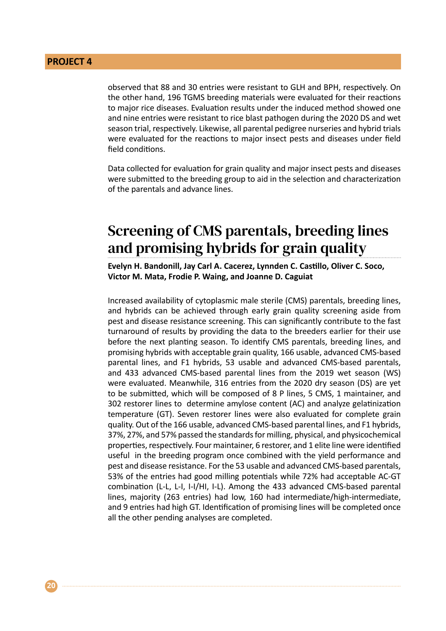observed that 88 and 30 entries were resistant to GLH and BPH, respectively. On the other hand, 196 TGMS breeding materials were evaluated for their reactions to major rice diseases. Evaluation results under the induced method showed one and nine entries were resistant to rice blast pathogen during the 2020 DS and wet season trial, respectively. Likewise, all parental pedigree nurseries and hybrid trials were evaluated for the reactions to major insect pests and diseases under field field conditions.

Data collected for evaluation for grain quality and major insect pests and diseases were submitted to the breeding group to aid in the selection and characterization of the parentals and advance lines.

### Screening of CMS parentals, breeding lines and promising hybrids for grain quality

**Evelyn H. Bandonill, Jay Carl A. Cacerez, Lynnden C. Castillo, Oliver C. Soco, Victor M. Mata, Frodie P. Waing, and Joanne D. Caguiat**

Increased availability of cytoplasmic male sterile (CMS) parentals, breeding lines, and hybrids can be achieved through early grain quality screening aside from pest and disease resistance screening. This can significantly contribute to the fast turnaround of results by providing the data to the breeders earlier for their use before the next planting season. To identify CMS parentals, breeding lines, and promising hybrids with acceptable grain quality, 166 usable, advanced CMS-based parental lines, and F1 hybrids, 53 usable and advanced CMS-based parentals, and 433 advanced CMS-based parental lines from the 2019 wet season (WS) were evaluated. Meanwhile, 316 entries from the 2020 dry season (DS) are yet to be submitted, which will be composed of 8 P lines, 5 CMS, 1 maintainer, and 302 restorer lines to determine amylose content (AC) and analyze gelatinization temperature (GT). Seven restorer lines were also evaluated for complete grain quality. Out of the 166 usable, advanced CMS-based parental lines, and F1 hybrids, 37%, 27%, and 57% passed the standards for milling, physical, and physicochemical properties, respectively. Four maintainer, 6 restorer, and 1 elite line were identified useful in the breeding program once combined with the yield performance and pest and disease resistance. For the 53 usable and advanced CMS-based parentals, 53% of the entries had good milling potentials while 72% had acceptable AC-GT combination (L-L, L-I, I-I/HI, I-L). Among the 433 advanced CMS-based parental lines, majority (263 entries) had low, 160 had intermediate/high-intermediate, and 9 entries had high GT. Identification of promising lines will be completed once all the other pending analyses are completed.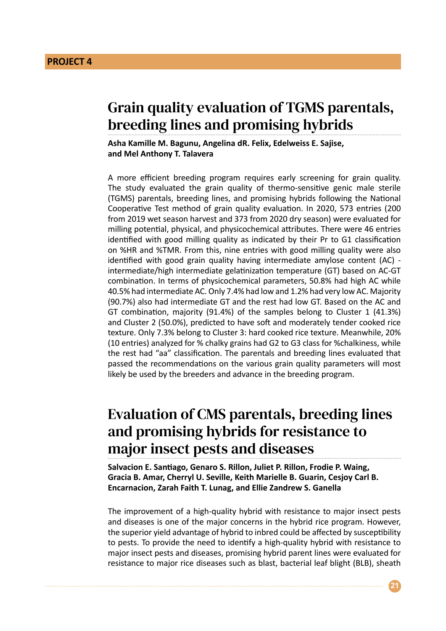### Grain quality evaluation of TGMS parentals, breeding lines and promising hybrids

**Asha Kamille M. Bagunu, Angelina dR. Felix, Edelweiss E. Sajise, and Mel Anthony T. Talavera**

A more efficient breeding program requires early screening for grain quality. The study evaluated the grain quality of thermo-sensitive genic male sterile (TGMS) parentals, breeding lines, and promising hybrids following the National Cooperative Test method of grain quality evaluation. In 2020, 573 entries (200 from 2019 wet season harvest and 373 from 2020 dry season) were evaluated for milling potential, physical, and physicochemical attributes. There were 46 entries identified with good milling quality as indicated by their Pr to G1 classification on %HR and %TMR. From this, nine entries with good milling quality were also identified with good grain quality having intermediate amylose content (AC) intermediate/high intermediate gelatinization temperature (GT) based on AC-GT combination. In terms of physicochemical parameters, 50.8% had high AC while 40.5% had intermediate AC. Only 7.4% had low and 1.2% had very low AC. Majority (90.7%) also had intermediate GT and the rest had low GT. Based on the AC and GT combination, majority (91.4%) of the samples belong to Cluster 1 (41.3%) and Cluster 2 (50.0%), predicted to have soft and moderately tender cooked rice texture. Only 7.3% belong to Cluster 3: hard cooked rice texture. Meanwhile, 20% (10 entries) analyzed for % chalky grains had G2 to G3 class for %chalkiness, while the rest had "aa" classification. The parentals and breeding lines evaluated that passed the recommendations on the various grain quality parameters will most likely be used by the breeders and advance in the breeding program.

### Evaluation of CMS parentals, breeding lines and promising hybrids for resistance to major insect pests and diseases

**Salvacion E. Santiago, Genaro S. Rillon, Juliet P. Rillon, Frodie P. Waing, Gracia B. Amar, Cherryl U. Seville, Keith Marielle B. Guarin, Cesjoy Carl B. Encarnacion, Zarah Faith T. Lunag, and Ellie Zandrew S. Ganella**

The improvement of a high-quality hybrid with resistance to major insect pests and diseases is one of the major concerns in the hybrid rice program. However, the superior yield advantage of hybrid to inbred could be affected by susceptibility to pests. To provide the need to identify a high-quality hybrid with resistance to major insect pests and diseases, promising hybrid parent lines were evaluated for resistance to major rice diseases such as blast, bacterial leaf blight (BLB), sheath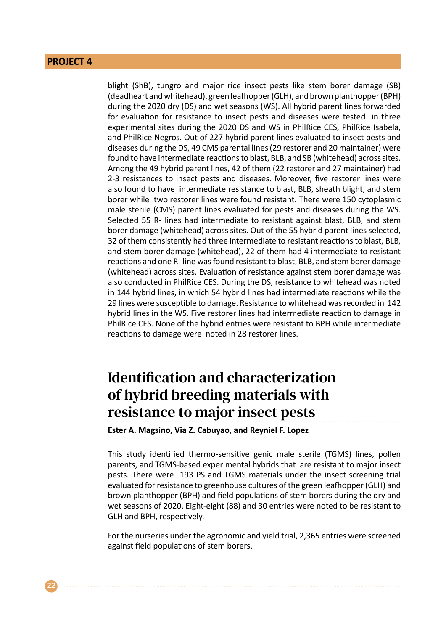blight (ShB), tungro and major rice insect pests like stem borer damage (SB) (deadheart and whitehead), green leafhopper (GLH), and brown planthopper (BPH) during the 2020 dry (DS) and wet seasons (WS). All hybrid parent lines forwarded for evaluation for resistance to insect pests and diseases were tested in three experimental sites during the 2020 DS and WS in PhilRice CES, PhilRice Isabela, and PhilRice Negros. Out of 227 hybrid parent lines evaluated to insect pests and diseases during the DS, 49 CMS parental lines (29 restorer and 20 maintainer) were found to have intermediate reactions to blast, BLB, and SB (whitehead) across sites. Among the 49 hybrid parent lines, 42 of them (22 restorer and 27 maintainer) had 2-3 resistances to insect pests and diseases. Moreover, five restorer lines were also found to have intermediate resistance to blast, BLB, sheath blight, and stem borer while two restorer lines were found resistant. There were 150 cytoplasmic male sterile (CMS) parent lines evaluated for pests and diseases during the WS. Selected 55 R- lines had intermediate to resistant against blast, BLB, and stem borer damage (whitehead) across sites. Out of the 55 hybrid parent lines selected, 32 of them consistently had three intermediate to resistant reactions to blast, BLB, and stem borer damage (whitehead), 22 of them had 4 intermediate to resistant reactions and one R- line was found resistant to blast, BLB, and stem borer damage (whitehead) across sites. Evaluation of resistance against stem borer damage was also conducted in PhilRice CES. During the DS, resistance to whitehead was noted in 144 hybrid lines, in which 54 hybrid lines had intermediate reactions while the 29 lines were susceptible to damage. Resistance to whitehead was recorded in 142 hybrid lines in the WS. Five restorer lines had intermediate reaction to damage in PhilRice CES. None of the hybrid entries were resistant to BPH while intermediate reactions to damage were noted in 28 restorer lines.

### Identification and characterization of hybrid breeding materials with resistance to major insect pests

**Ester A. Magsino, Via Z. Cabuyao, and Reyniel F. Lopez**

This study identified thermo-sensitive genic male sterile (TGMS) lines, pollen parents, and TGMS-based experimental hybrids that are resistant to major insect pests. There were 193 PS and TGMS materials under the insect screening trial evaluated for resistance to greenhouse cultures of the green leafhopper (GLH) and brown planthopper (BPH) and field populations of stem borers during the dry and wet seasons of 2020. Eight-eight (88) and 30 entries were noted to be resistant to GLH and BPH, respectively.

For the nurseries under the agronomic and yield trial, 2,365 entries were screened against field populations of stem borers.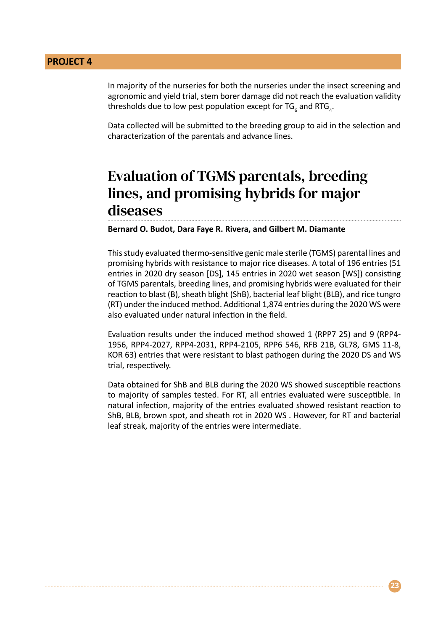In majority of the nurseries for both the nurseries under the insect screening and agronomic and yield trial, stem borer damage did not reach the evaluation validity thresholds due to low pest population except for TG<sub>6</sub> and RTG<sub>4</sub>.

Data collected will be submitted to the breeding group to aid in the selection and characterization of the parentals and advance lines.

### Evaluation of TGMS parentals, breeding lines, and promising hybrids for major diseases

**Bernard O. Budot, Dara Faye R. Rivera, and Gilbert M. Diamante** 

This study evaluated thermo-sensitive genic male sterile (TGMS) parental lines and promising hybrids with resistance to major rice diseases. A total of 196 entries (51 entries in 2020 dry season [DS], 145 entries in 2020 wet season [WS]) consisting of TGMS parentals, breeding lines, and promising hybrids were evaluated for their reaction to blast (B), sheath blight (ShB), bacterial leaf blight (BLB), and rice tungro (RT) under the induced method. Additional 1,874 entries during the 2020 WS were also evaluated under natural infection in the field.

Evaluation results under the induced method showed 1 (RPP7 25) and 9 (RPP4- 1956, RPP4-2027, RPP4-2031, RPP4-2105, RPP6 546, RFB 21B, GL78, GMS 11-8, KOR 63) entries that were resistant to blast pathogen during the 2020 DS and WS trial, respectively.

Data obtained for ShB and BLB during the 2020 WS showed susceptible reactions to majority of samples tested. For RT, all entries evaluated were susceptible. In natural infection, majority of the entries evaluated showed resistant reaction to ShB, BLB, brown spot, and sheath rot in 2020 WS . However, for RT and bacterial leaf streak, majority of the entries were intermediate.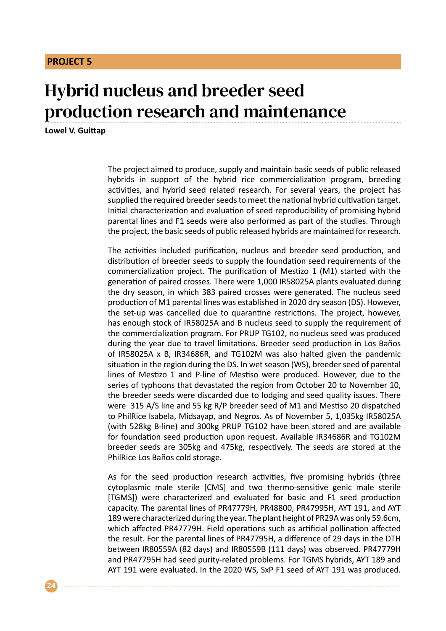## Hybrid nucleus and breeder seed production research and maintenance

**Lowel V. Guittap**

The project aimed to produce, supply and maintain basic seeds of public released hybrids in support of the hybrid rice commercialization program, breeding activities, and hybrid seed related research. For several years, the project has supplied the required breeder seeds to meet the national hybrid cultivation target. Initial characterization and evaluation of seed reproducibility of promising hybrid parental lines and F1 seeds were also performed as part of the studies. Through the project, the basic seeds of public released hybrids are maintained for research.

The activities included purification, nucleus and breeder seed production, and distribution of breeder seeds to supply the foundation seed requirements of the commercialization project. The purification of Mestizo 1 (M1) started with the generation of paired crosses. There were 1,000 IR58025A plants evaluated during the dry season, in which 383 paired crosses were generated. The nucleus seed production of M1 parental lines was established in 2020 dry season (DS). However, the set-up was cancelled due to quarantine restrictions. The project, however, has enough stock of IR58025A and B nucleus seed to supply the requirement of the commercialization program. For PRUP TG102, no nucleus seed was produced during the year due to travel limitations. Breeder seed production in Los Baños of IR58025A x B, IR34686R, and TG102M was also halted given the pandemic situation in the region during the DS. In wet season (WS), breeder seed of parental lines of Mestizo 1 and P-line of Mestiso were produced. However, due to the series of typhoons that devastated the region from October 20 to November 10, the breeder seeds were discarded due to lodging and seed quality issues. There were 315 A/S line and 55 kg R/P breeder seed of M1 and Mestiso 20 dispatched to PhilRice Isabela, Midsayap, and Negros. As of November 5, 1,035kg IR58025A (with 528kg B-line) and 300kg PRUP TG102 have been stored and are available for foundation seed production upon request. Available IR34686R and TG102M breeder seeds are 305kg and 475kg, respectively. The seeds are stored at the PhilRice Los Baños cold storage.

As for the seed production research activities, five promising hybrids (three cytoplasmic male sterile [CMS] and two thermo-sensitive genic male sterile [TGMS]) were characterized and evaluated for basic and F1 seed production capacity. The parental lines of PR47779H, PR48800, PR47995H, AYT 191, and AYT 189 were characterized during the year. The plant height of PR29A was only 59.6cm, which affected PR47779H. Field operations such as artificial pollination affected the result. For the parental lines of PR47795H, a difference of 29 days in the DTH between IR80559A (82 days) and IR80559B (111 days) was observed. PR47779H and PR47795H had seed purity-related problems. For TGMS hybrids, AYT 189 and AYT 191 were evaluated. In the 2020 WS, SxP F1 seed of AYT 191 was produced.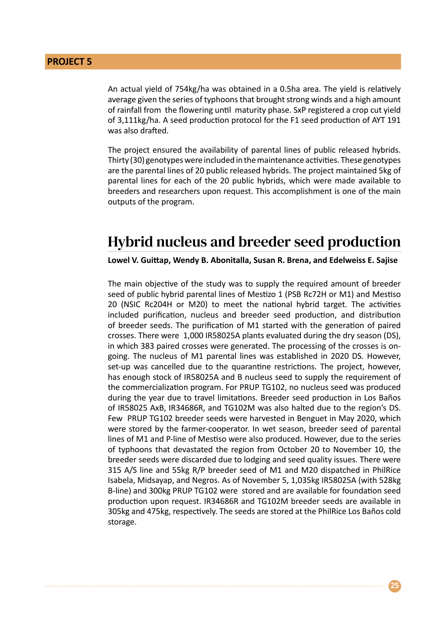An actual yield of 754kg/ha was obtained in a 0.5ha area. The yield is relatively average given the series of typhoons that brought strong winds and a high amount of rainfall from the flowering until maturity phase. SxP registered a crop cut yield of 3,111kg/ha. A seed production protocol for the F1 seed production of AYT 191 was also drafted.

The project ensured the availability of parental lines of public released hybrids. Thirty (30) genotypes were included in the maintenance activities. These genotypes are the parental lines of 20 public released hybrids. The project maintained 5kg of parental lines for each of the 20 public hybrids, which were made available to breeders and researchers upon request. This accomplishment is one of the main outputs of the program.

#### Hybrid nucleus and breeder seed production

**Lowel V. Guittap, Wendy B. Abonitalla, Susan R. Brena, and Edelweiss E. Sajise**

The main objective of the study was to supply the required amount of breeder seed of public hybrid parental lines of Mestizo 1 (PSB Rc72H or M1) and Mestiso 20 (NSIC Rc204H or M20) to meet the national hybrid target. The activities included purification, nucleus and breeder seed production, and distribution of breeder seeds. The purification of M1 started with the generation of paired crosses. There were 1,000 IR58025A plants evaluated during the dry season (DS), in which 383 paired crosses were generated. The processing of the crosses is ongoing. The nucleus of M1 parental lines was established in 2020 DS. However, set-up was cancelled due to the quarantine restrictions. The project, however, has enough stock of IR58025A and B nucleus seed to supply the requirement of the commercialization program. For PRUP TG102, no nucleus seed was produced during the year due to travel limitations. Breeder seed production in Los Baños of IR58025 AxB, IR34686R, and TG102M was also halted due to the region's DS. Few PRUP TG102 breeder seeds were harvested in Benguet in May 2020, which were stored by the farmer-cooperator. In wet season, breeder seed of parental lines of M1 and P-line of Mestiso were also produced. However, due to the series of typhoons that devastated the region from October 20 to November 10, the breeder seeds were discarded due to lodging and seed quality issues. There were 315 A/S line and 55kg R/P breeder seed of M1 and M20 dispatched in PhilRice Isabela, Midsayap, and Negros. As of November 5, 1,035kg IR58025A (with 528kg B-line) and 300kg PRUP TG102 were stored and are available for foundation seed production upon request. IR34686R and TG102M breeder seeds are available in 305kg and 475kg, respectively. The seeds are stored at the PhilRice Los Baños cold storage.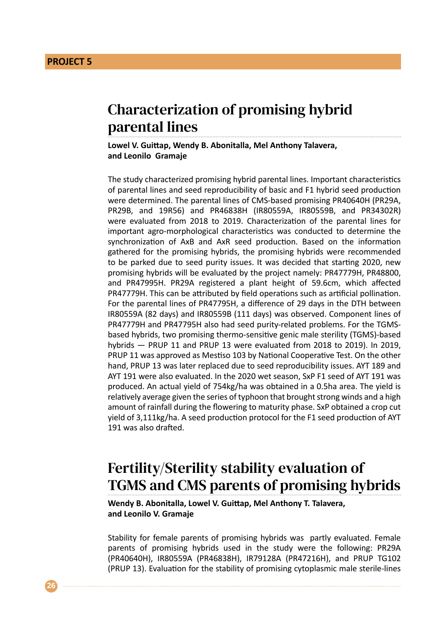### Characterization of promising hybrid parental lines

**Lowel V. Guittap, Wendy B. Abonitalla, Mel Anthony Talavera, and Leonilo Gramaje**

The study characterized promising hybrid parental lines. Important characteristics of parental lines and seed reproducibility of basic and F1 hybrid seed production were determined. The parental lines of CMS-based promising PR40640H (PR29A, PR29B, and 19R56) and PR46838H (IR80559A, IR80559B, and PR34302R) were evaluated from 2018 to 2019. Characterization of the parental lines for important agro-morphological characteristics was conducted to determine the synchronization of AxB and AxR seed production. Based on the information gathered for the promising hybrids, the promising hybrids were recommended to be parked due to seed purity issues. It was decided that starting 2020, new promising hybrids will be evaluated by the project namely: PR47779H, PR48800, and PR47995H. PR29A registered a plant height of 59.6cm, which affected PR47779H. This can be attributed by field operations such as artificial pollination. For the parental lines of PR47795H, a difference of 29 days in the DTH between IR80559A (82 days) and IR80559B (111 days) was observed. Component lines of PR47779H and PR47795H also had seed purity-related problems. For the TGMSbased hybrids, two promising thermo-sensitive genic male sterility (TGMS)-based hybrids — PRUP 11 and PRUP 13 were evaluated from 2018 to 2019). In 2019, PRUP 11 was approved as Mestiso 103 by National Cooperative Test. On the other hand, PRUP 13 was later replaced due to seed reproducibility issues. AYT 189 and AYT 191 were also evaluated. In the 2020 wet season, SxP F1 seed of AYT 191 was produced. An actual yield of 754kg/ha was obtained in a 0.5ha area. The yield is relatively average given the series of typhoon that brought strong winds and a high amount of rainfall during the flowering to maturity phase. SxP obtained a crop cut yield of 3,111kg/ha. A seed production protocol for the F1 seed production of AYT 191 was also drafted.

### Fertility/Sterility stability evaluation of TGMS and CMS parents of promising hybrids

**Wendy B. Abonitalla, Lowel V. Guittap, Mel Anthony T. Talavera, and Leonilo V. Gramaje**

Stability for female parents of promising hybrids was partly evaluated. Female parents of promising hybrids used in the study were the following: PR29A (PR40640H), IR80559A (PR46838H), IR79128A (PR47216H), and PRUP TG102 (PRUP 13). Evaluation for the stability of promising cytoplasmic male sterile-lines